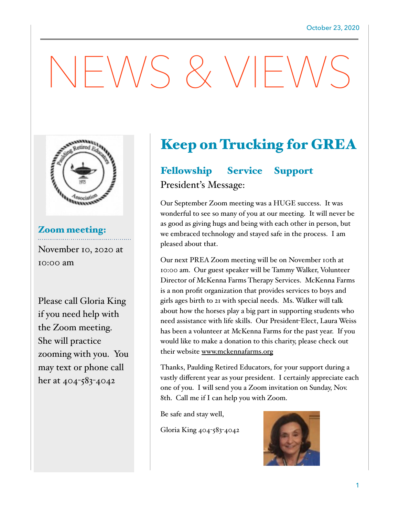# NEWS & VIEWS



### Zoom meeting:

November 10, 2020 at 10:00 am

Please call Gloria King if you need help with the Zoom meeting. She will practice zooming with you. You may text or phone call her at 404-583-4042

# Keep on Trucking for GREA

# Fellowship Service Support

President's Message:

Our September Zoom meeting was a HUGE success. It was wonderful to see so many of you at our meeting. It will never be as good as giving hugs and being with each other in person, but we embraced technology and stayed safe in the process. I am pleased about that.

Our next PREA Zoom meeting will be on November 10th at 10:00 am. Our guest speaker will be Tammy Walker, Volunteer Director of McKenna Farms Therapy Services. McKenna Farms is a non profit organization that provides services to boys and girls ages birth to 21 with special needs. Ms. Walker will talk about how the horses play a big part in supporting students who need assistance with life skills. Our President-Elect, Laura Weiss has been a volunteer at McKenna Farms for the past year. If you would like to make a donation to this charity, please check out their website [www.mckennafarms.org](http://www.mckennafarms.org)

Thanks, Paulding Retired Educators, for your support during a vastly different year as your president. I certainly appreciate each one of you. I will send you a Zoom invitation on Sunday, Nov. 8th. Call me if I can help you with Zoom.

Be safe and stay well,

Gloria King 404-583-4042

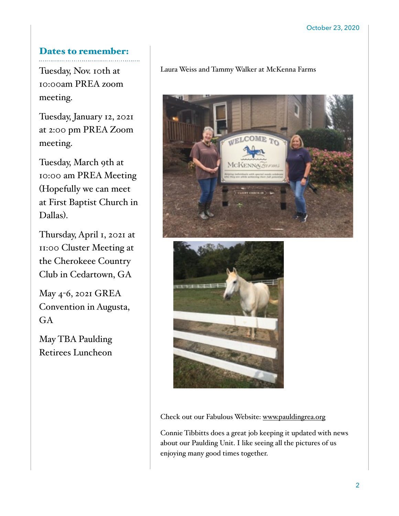## Dates to remember:

Tuesday, Nov. 10th at 10:00am PREA zoom meeting.

Tuesday, January 12, 2021 at 2:00 pm PREA Zoom meeting.

Tuesday, March 9th at 10:00 am PREA Meeting (Hopefully we can meet at First Baptist Church in Dallas).

Thursday, April 1, 2021 at 11:00 Cluster Meeting at the Cherokeee Country Club in Cedartown, GA

May 4-6, 2021 GREA Convention in Augusta, GA

May TBA Paulding Retirees Luncheon

#### Laura Weiss and Tammy Walker at McKenna Farms





Check out our Fabulous Website: [www.pauldingrea.org](http://www.pauldingrea.org)

Connie Tibbitts does a great job keeping it updated with news about our Paulding Unit. I like seeing all the pictures of us enjoying many good times together.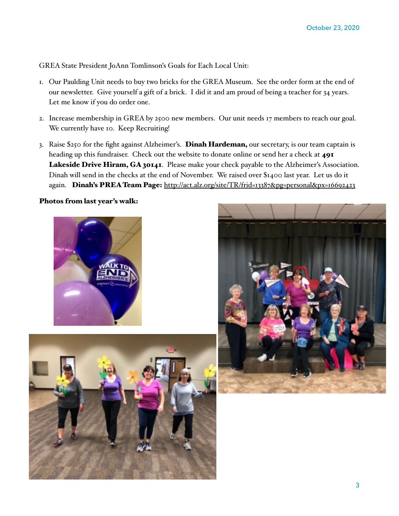GREA State President JoAnn Tomlinson's Goals for Each Local Unit:

- 1. Our Paulding Unit needs to buy two bricks for the GREA Museum. See the order form at the end of our newsletter. Give yourself a gift of a brick. I did it and am proud of being a teacher for 34 years. Let me know if you do order one.
- 2. Increase membership in GREA by 2500 new members. Our unit needs 17 members to reach our goal. We currently have 10. Keep Recruiting!
- 3. Raise \$250 for the fight against Alzheimer's. Dinah Hardeman, our secretary, is our team captain is heading up this fundraiser. Check out the website to donate online or send her a check at 491 Lakeside Drive Hiram, GA 30141. Please make your check payable to the Alzheimer's Association. Dinah will send in the checks at the end of November. We raised over \$1400 last year. Let us do it again. Dinah's PREA Team Page: <http://act.alz.org/site/TR/frid=13387&pg=personal&px=16692423>

#### Photos from last year's walk:





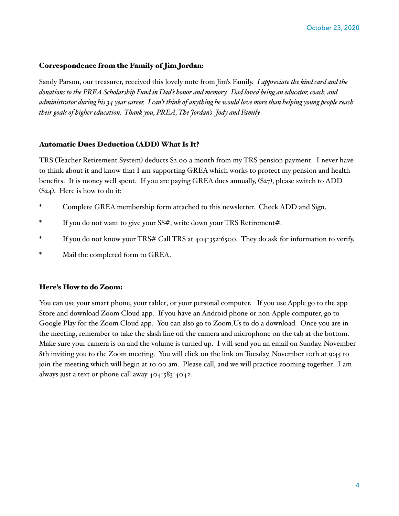#### Correspondence from the Family of Jim Jordan:

Sandy Parson, our treasurer, received this lovely note from Jim's Family. *I appreciate the kind card and the donations to the PREA Scholarship Fund in Dad's honor and memory. Dad loved being an educator, coach, and administrator during his 34 year career. I can't think of anything he would love more than helping young people reach their goals of higher education. Thank you, PREA, The Jordan's Jody and Family*

#### Automatic Dues Deduction (ADD) What Is It?

TRS (Teacher Retirement System) deducts \$2.00 a month from my TRS pension payment. I never have to think about it and know that I am supporting GREA which works to protect my pension and health benefits. It is money well spent. If you are paying GREA dues annually, (\$27), please switch to ADD (\$24). Here is how to do it:

- \* Complete GREA membership form attached to this newsletter. Check ADD and Sign.
- \* If you do not want to give your SS#, write down your TRS Retirement#.
- \* If you do not know your TRS# Call TRS at 404-352-6500. They do ask for information to verify.
- \* Mail the completed form to GREA.

#### Here's How to do Zoom:

You can use your smart phone, your tablet, or your personal computer. If you use Apple go to the app Store and download Zoom Cloud app. If you have an Android phone or non-Apple computer, go to Google Play for the Zoom Cloud app. You can also go to Zoom.Us to do a download. Once you are in the meeting, remember to take the slash line off the camera and microphone on the tab at the bottom. Make sure your camera is on and the volume is turned up. I will send you an email on Sunday, November 8th inviting you to the Zoom meeting. You will click on the link on Tuesday, November 10th at 9:45 to join the meeting which will begin at 10:00 am. Please call, and we will practice zooming together. I am always just a text or phone call away 404-583-4042.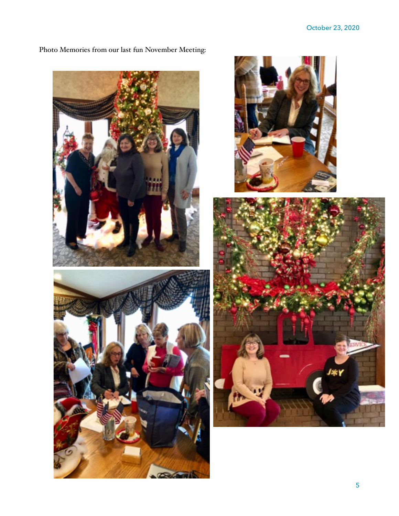

Photo Memories from our last fun November Meeting:



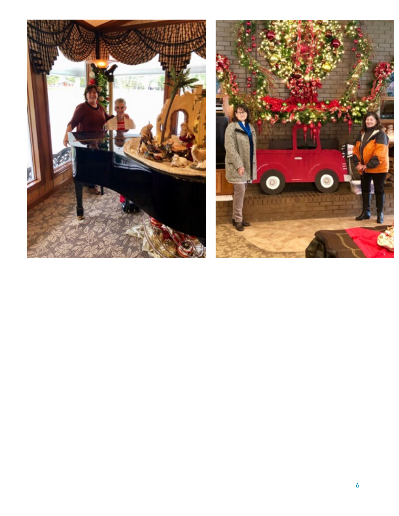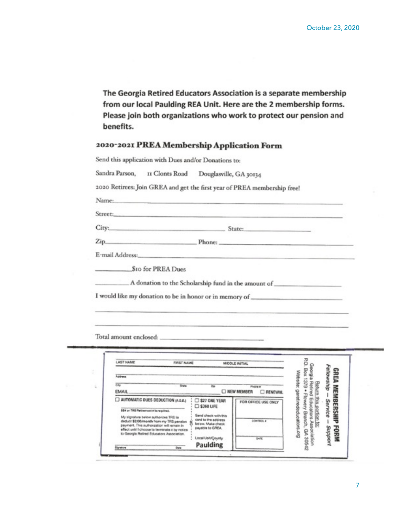The Georgia Retired Educators Association is a separate membership from our local Paulding REA Unit. Here are the 2 membership forms. Please join both organizations who work to protect our pension and benefits.

#### 2020-2021 PREA Membership Application Form

| Name:            | 2020 Retirees: Join GREA and get the first year of PREA membership free!<br>the control of the control of the control of the control of the control of the control of the control of the control of the control of the control of the control of the control of the control of the control of the control |                     |                                                                                     |                              |
|------------------|-----------------------------------------------------------------------------------------------------------------------------------------------------------------------------------------------------------------------------------------------------------------------------------------------------------|---------------------|-------------------------------------------------------------------------------------|------------------------------|
|                  |                                                                                                                                                                                                                                                                                                           |                     |                                                                                     |                              |
|                  |                                                                                                                                                                                                                                                                                                           |                     |                                                                                     |                              |
|                  |                                                                                                                                                                                                                                                                                                           |                     |                                                                                     |                              |
|                  | E-mail Address: North American Communication of the Communication of the Communication of the Communication of                                                                                                                                                                                            |                     |                                                                                     |                              |
|                  | <b>SIO for PREA Dues</b>                                                                                                                                                                                                                                                                                  |                     |                                                                                     |                              |
|                  | A donation to the Scholarship fund in the amount of _____________________________<br>I would like my donation to be in honor or in memory of ________________________                                                                                                                                     |                     |                                                                                     |                              |
|                  |                                                                                                                                                                                                                                                                                                           |                     | the contract of the contract of the contract of the contract of the contract of the |                              |
| <b>LAST NAME</b> | <b>FIRST NAME</b>                                                                                                                                                                                                                                                                                         | <b>MODLE INTIAL</b> | P.O.                                                                                |                              |
| Address          | the control of the control of the control of the control of the control of the control of the control of the control of the control of the control of the control of the control of the control of the control of the control                                                                             |                     | Georgia Retired<br>Georgia Retired<br>Box 1379 • F<br>Website: ga                   | Fellowship<br><b>GREA ME</b> |

| <b>LAST NAME</b>                                                                                                                                                                                                               | <b>FIRST NAME</b> |                                                                     | <b>MODLE INTIAL</b>                     | ⊕                                                                   |
|--------------------------------------------------------------------------------------------------------------------------------------------------------------------------------------------------------------------------------|-------------------|---------------------------------------------------------------------|-----------------------------------------|---------------------------------------------------------------------|
| Address                                                                                                                                                                                                                        |                   |                                                                     |                                         | Box<br>alidewship<br><b>CREA</b><br>Viebstre:                       |
| <b>GW</b>                                                                                                                                                                                                                      | State.            |                                                                     | Philips &                               | 6281<br>M                                                           |
| <b>EMAIL</b>                                                                                                                                                                                                                   |                   |                                                                     | <b>C NEW MEMBER</b><br><b>C RENEWAL</b> | 딮                                                                   |
| AUTOMATIC DUES DEDUCTION (AGA)<br>554 or TRS Retirement # la required.                                                                                                                                                         |                   | S27 ONE YEAR<br>C \$360 LIFE<br>Sand check with this                | FOR OFFICE USE ONLY                     | Flowery<br>š<br><b>MBERSHI</b><br>Service<br>š<br><b>Compa</b><br>Ř |
| My signature below authorizes TRS to<br>deduct \$2.00/month from my TRS pension<br>payment. This authorization will remain in<br>effect until I choose to terminate it by notice.<br>to Georgia Retired Educators Association. |                   | card to the address<br>below. Make check<br><b>DAVADIA TO GREA.</b> | <b>CONTROL</b>                          | Branch,<br>Association<br>ħ<br>Š<br><b>FORM</b><br>à                |
| Signature                                                                                                                                                                                                                      | Oute              | Local Unit/County<br>Paulding                                       | <b>SAFE</b>                             | <b>Propert</b><br>GA 30542                                          |